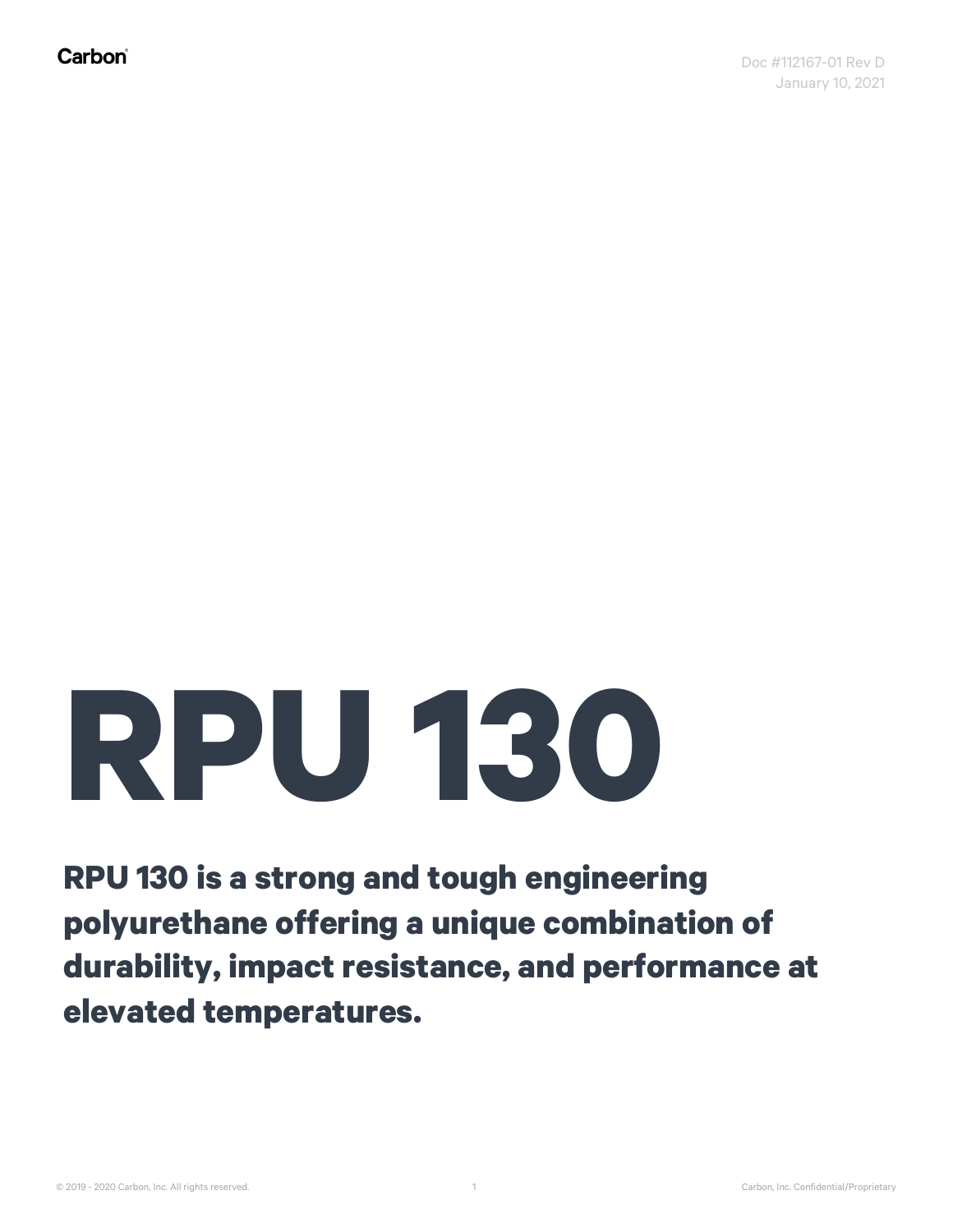## **RPU 130**

**RPU 130 is a strong and tough engineering polyurethane offering a unique combination of durability, impact resistance, and performance at elevated temperatures.**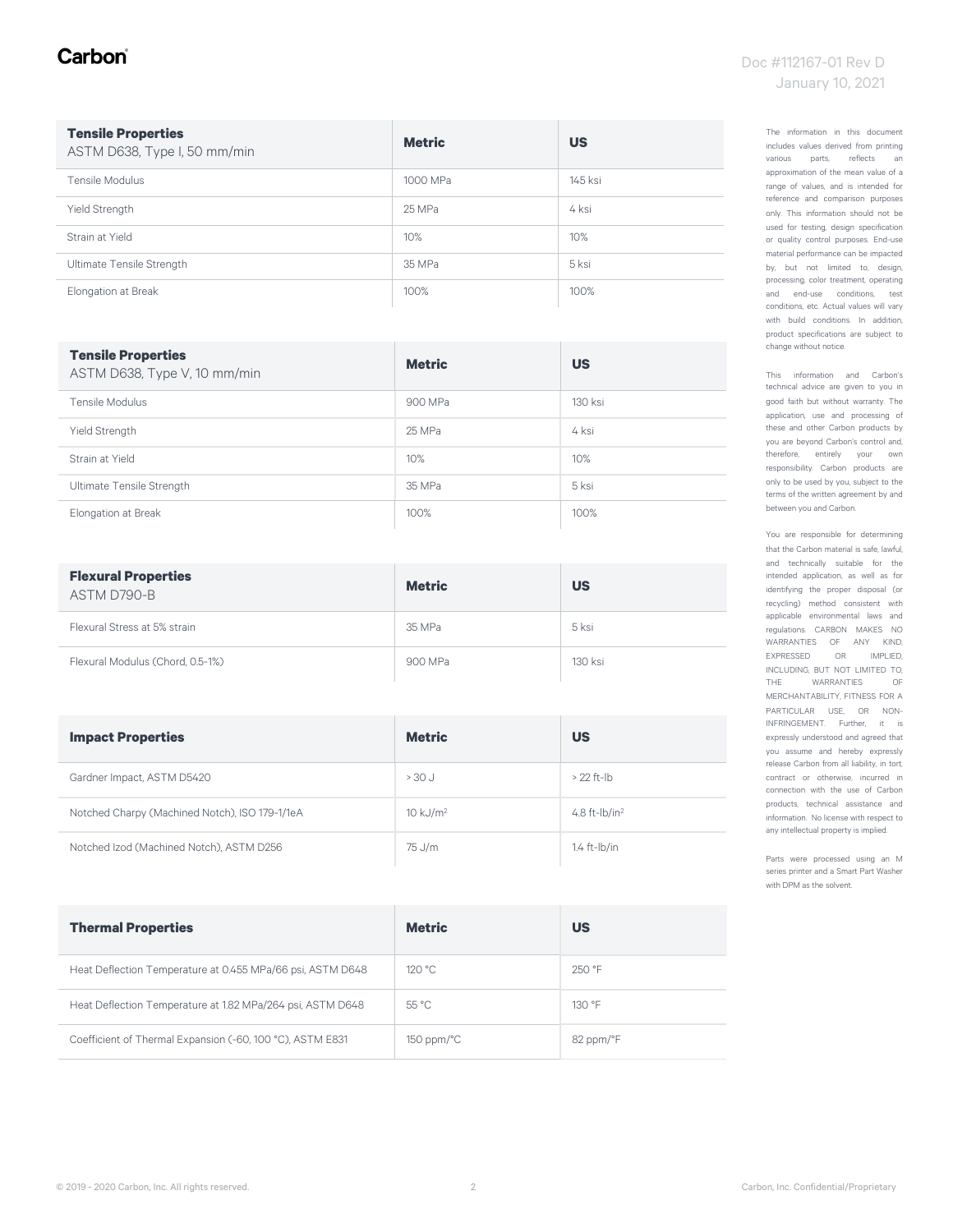#### Carbon

#### Doc #112167-01 Rev D January 10, 2021

| <b>Tensile Properties</b><br>ASTM D638, Type I, 50 mm/min | <b>Metric</b> | <b>US</b> |
|-----------------------------------------------------------|---------------|-----------|
| Tensile Modulus                                           | 1000 MPa      | 145 ksi   |
| <b>Yield Strength</b>                                     | 25 MPa        | 4 ksi     |
| Strain at Yield                                           | 10%           | 10%       |
| Ultimate Tensile Strength                                 | 35 MPa        | 5 ksi     |
| Elongation at Break                                       | 100%          | 100%      |

| <b>Tensile Properties</b><br>ASTM D638, Type V, 10 mm/min | <b>Metric</b> | <b>US</b> |
|-----------------------------------------------------------|---------------|-----------|
| Tensile Modulus                                           | 900 MPa       | 130 ksi   |
| Yield Strength                                            | 25 MPa        | 4 ksi     |
| Strain at Yield                                           | 10%           | 10%       |
| Ultimate Tensile Strength                                 | 35 MPa        | 5 ksi     |
| Elongation at Break                                       | 100%          | 100%      |

| <b>Flexural Properties</b><br>ASTM D790-B | <b>Metric</b> | <b>US</b> |
|-------------------------------------------|---------------|-----------|
| Flexural Stress at 5% strain              | 35 MPa        | 5 ksi     |
| Flexural Modulus (Chord, 0.5-1%)          | 900 MPa       | 130 ksi   |

| <b>Impact Properties</b>                       | <b>Metric</b>          | <b>US</b>         |
|------------------------------------------------|------------------------|-------------------|
| Gardner Impact, ASTM D5420                     | $> 30$ J               | $>$ 22 ft-lb      |
| Notched Charpy (Machined Notch), ISO 179-1/1eA | $10$ kJ/m <sup>2</sup> | 4.8 ft- $lb/in^2$ |
| Notched Izod (Machined Notch), ASTM D256       | 75 J/m                 | $1.4$ ft- $lb/in$ |

| <b>Thermal Properties</b>                                  | <b>Metric</b>          | US        |
|------------------------------------------------------------|------------------------|-----------|
| Heat Deflection Temperature at 0.455 MPa/66 psi, ASTM D648 | 120 °C                 | 250 °F    |
| Heat Deflection Temperature at 1.82 MPa/264 psi, ASTM D648 | $55^{\circ}$ C         | 130 °F    |
| Coefficient of Thermal Expansion (-60, 100 °C), ASTM E831  | $150$ ppm/ $\degree$ C | 82 ppm/°F |

The information in this document includes values derived from printing various parts, reflects an approximation of the mean value of a range of values, and is intended for reference and comparison purposes only. This information should not be used for testing, design specification or quality control purposes. End-use material performance can be impacted by, but not limited to, design, processing, color treatment, operating and end-use conditions, test conditions, etc. Actual values will vary with build conditions. In addition, product specifications are subject to change without notice.

This information and Carbon's technical advice are given to you in good faith but without warranty. The application, use and processing of these and other Carbon products by you are beyond Carbon's control and, therefore, entirely your own responsibility. Carbon products are only to be used by you, subject to the terms of the written agreement by and between you and Carbon.

You are responsible for determining that the Carbon material is safe, lawful, and technically suitable for the intended application, as well as for identifying the proper disposal (or recycling) method consistent with applicable environmental laws and regulations. CARBON MAKES NO WARRANTIES OF ANY KIND, EXPRESSED OR IMPLIED, INCLUDING, BUT NOT LIMITED TO, THE WARRANTIES OF MERCHANTABILITY, FITNESS FOR A PARTICULAR USE, OR NON-INFRINGEMENT. Further, it is expressly understood and agreed that you assume and hereby expressly release Carbon from all liability, in tort, contract or otherwise, incurred in connection with the use of Carbon products, technical assistance and information. No license with respect to any intellectual property is implied.

Parts were processed using an M series printer and a Smart Part Washer with DPM as the solvent.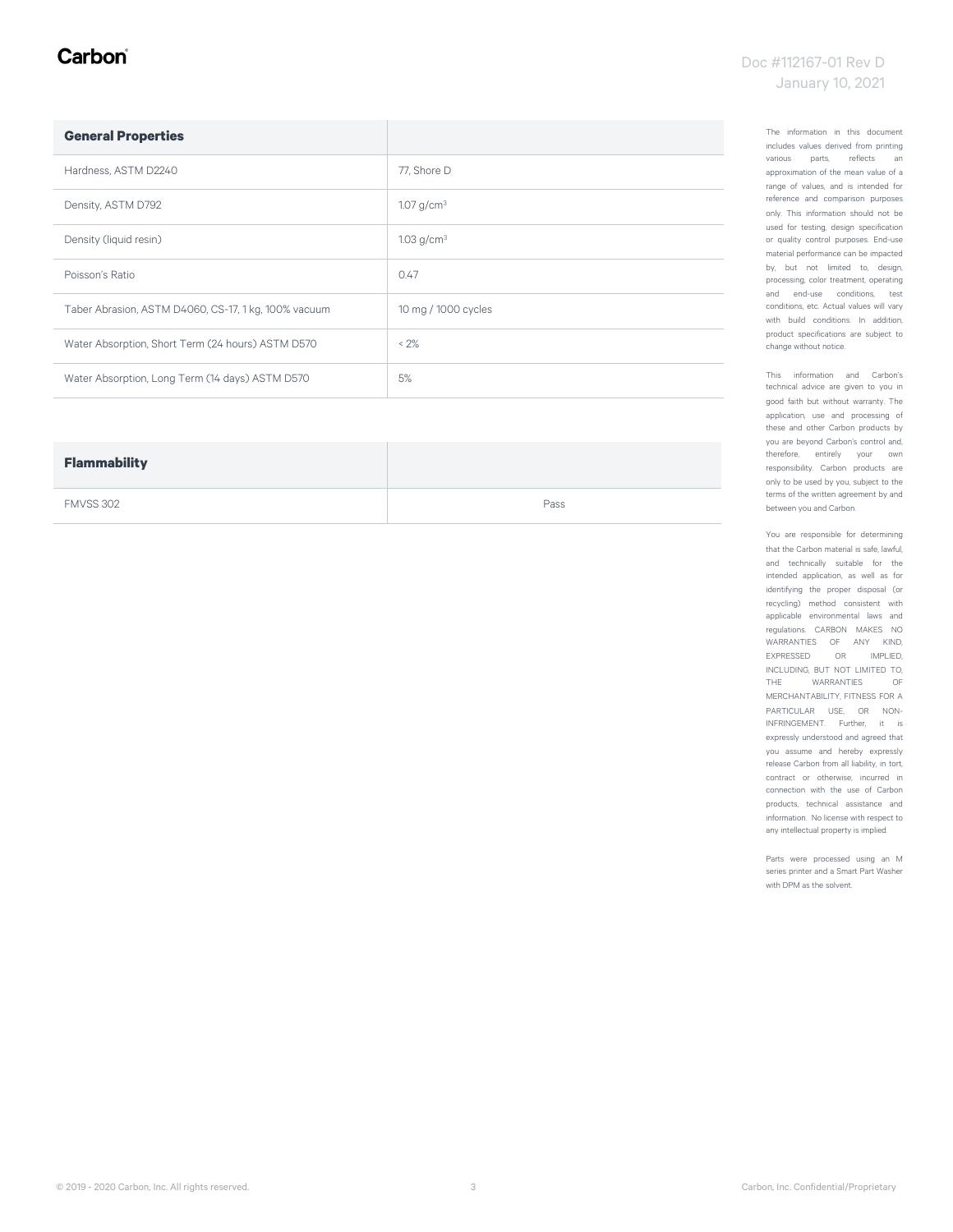#### Carbon

#### Doc #112167-01 Rev D January 10, 2021

| <b>General Properties</b>                            |                        |
|------------------------------------------------------|------------------------|
| Hardness, ASTM D2240                                 | 77, Shore D            |
| Density, ASTM D792                                   | 1.07 g/cm <sup>3</sup> |
| Density (liquid resin)                               | 1.03 $g/cm^{3}$        |
| Poisson's Ratio                                      | 0.47                   |
| Taber Abrasion, ASTM D4060, CS-17, 1 kg, 100% vacuum | 10 mg / 1000 cycles    |
| Water Absorption, Short Term (24 hours) ASTM D570    | < 2%                   |
| Water Absorption, Long Term (14 days) ASTM D570      | 5%                     |

| <b>Flammability</b> |      |
|---------------------|------|
| FMVSS 302           | Pass |

The information in this document includes values derived from printing various parts, reflects an approximation of the mean value of a range of values, and is intended for reference and comparison purposes only. This information should not be used for testing, design specification or quality control purposes. End-use material performance can be impacted by, but not limited to, design, processing, color treatment, operating and end-use conditions, test conditions, etc. Actual values will vary with build conditions. In addition, product specifications are subject to change without notice.

This information and Carbon's technical advice are given to you in good faith but without warranty. The application, use and processing of these and other Carbon products by you are beyond Carbon's control and, therefore, entirely your own responsibility. Carbon products are only to be used by you, subject to the terms of the written agreement by and between you and Carbon.

You are responsible for determining that the Carbon material is safe, lawful, and technically suitable for the intended application, as well as for identifying the proper disposal (or recycling) method consistent with applicable environmental laws and regulations. CARBON MAKES NO WARRANTIES OF ANY KIND, EXPRESSED OR IMPLIED, INCLUDING, BUT NOT LIMITED TO,<br>THE WARRANTIES OF THE WARRANTIES MERCHANTABILITY, FITNESS FOR A PARTICULAR USE, OR NON-INFRINGEMENT. Further, it is expressly understood and agreed that you assume and hereby expressly release Carbon from all liability, in tort, contract or otherwise, incurred in connection with the use of Carbon products, technical assistance and information. No license with respect to any intellectual property is implied.

Parts were processed using an M series printer and a Smart Part Washer with DPM as the solvent.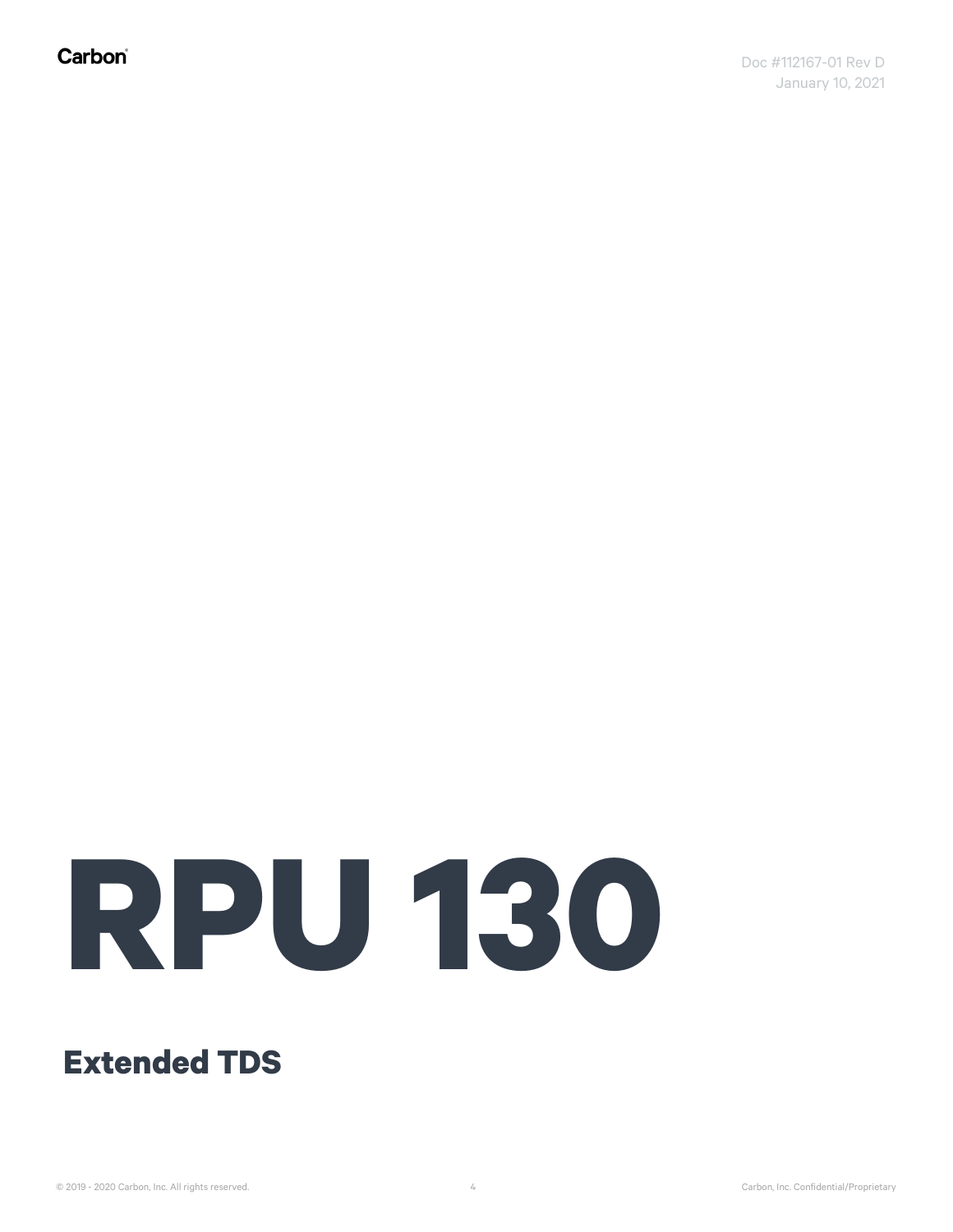Carbon®

# **RPU 130**

**Extended TDS**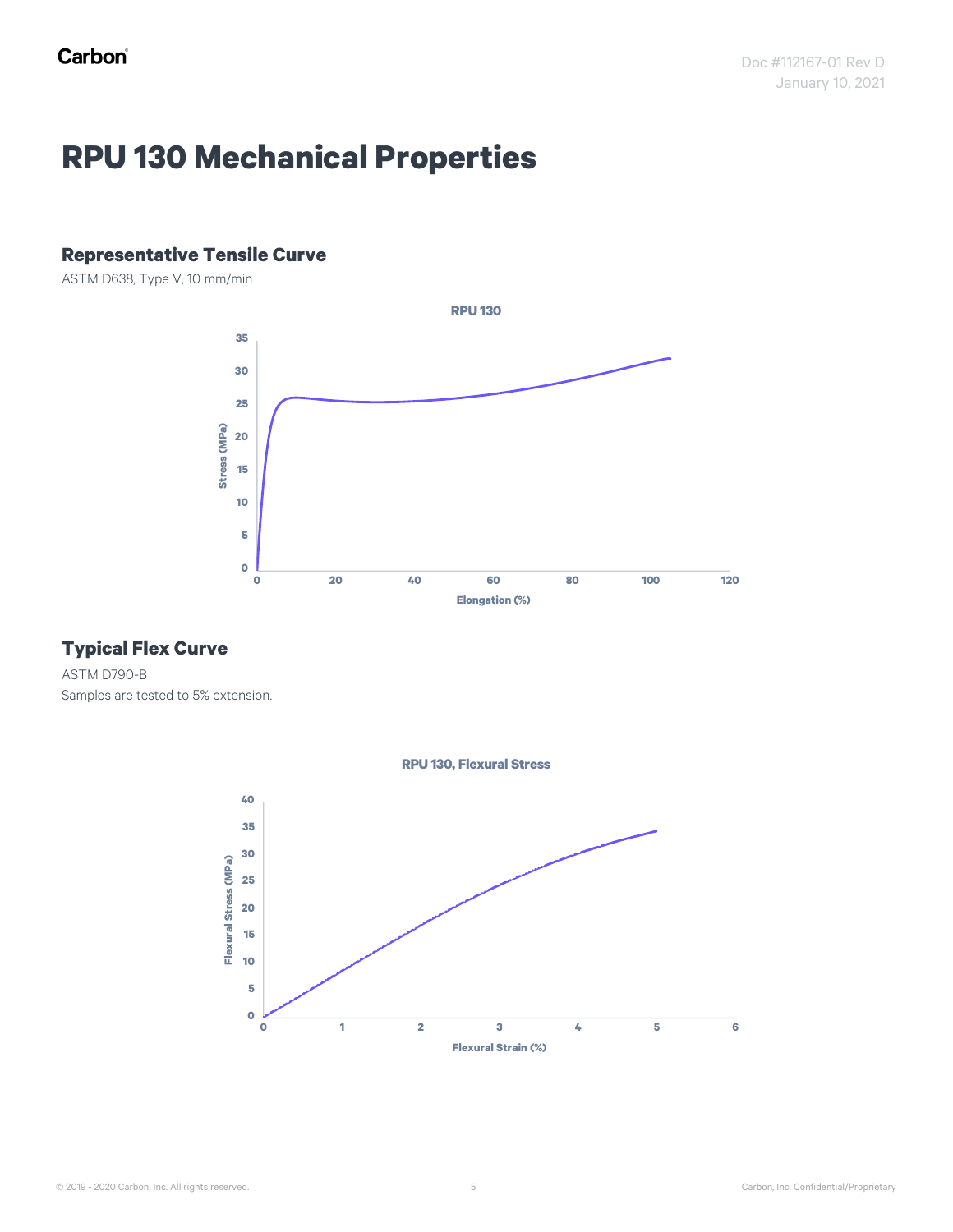## **RPU 130 Mechanical Properties**

#### **Representative Tensile Curve**

ASTM D638, Type V, 10 mm/min



#### **Typical Flex Curve**

ASTM D790-B Samples are tested to 5% extension.



© 2019 - 2020 Carbon, Inc. All rights reserved. Carbon, Inc. Confidential/Proprietary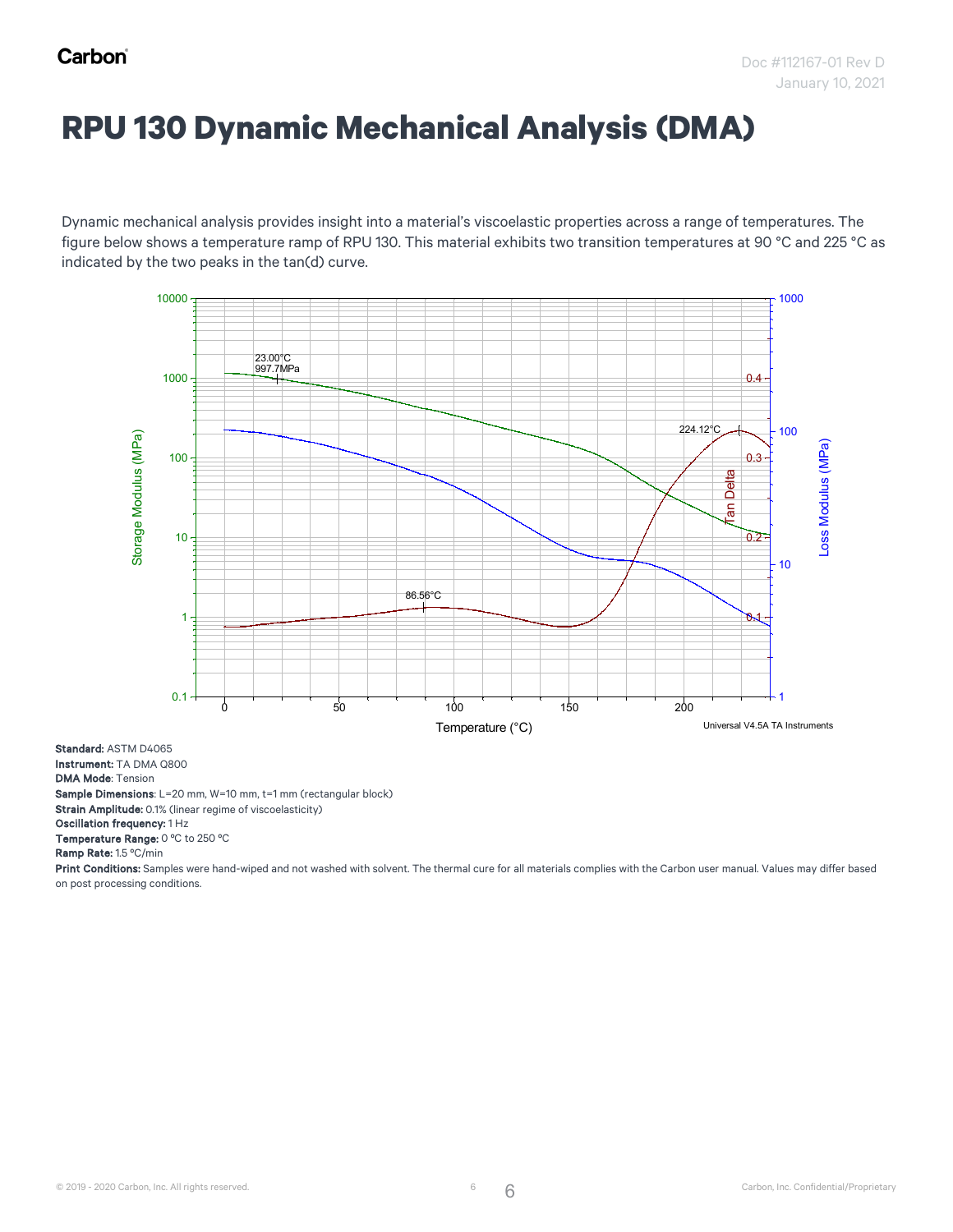## **RPU 130 Dynamic Mechanical Analysis (DMA)**

Dynamic mechanical analysis provides insight into a material's viscoelastic properties across a range of temperatures. The figure below shows a temperature ramp of RPU 130. This material exhibits two transition temperatures at 90 °C and 225 °C as<br>Disktophedia the the conclusioning file and the conclusions of the material exhibits two transitio indicated by the two peaks in the tan(d) curve. the two peaks in the t



Standard: ASTM D4065 Instrument: TA DMA Q800 DMA Mode: Tension Sample Dimensions: L=20 mm, W=10 mm, t=1 mm (rectangular block) Strain Amplitude: 0.1% (linear regime of viscoelasticity) Oscillation frequency: 1 Hz

Temperature Range: 0 ºC to 250 ºC

Ramp Rate: 1.5 ºC/min

Print Conditions: Samples were hand-wiped and not washed with solvent. The thermal cure for all materials complies with the Carbon user manual. Values may differ based on post processing conditions.

6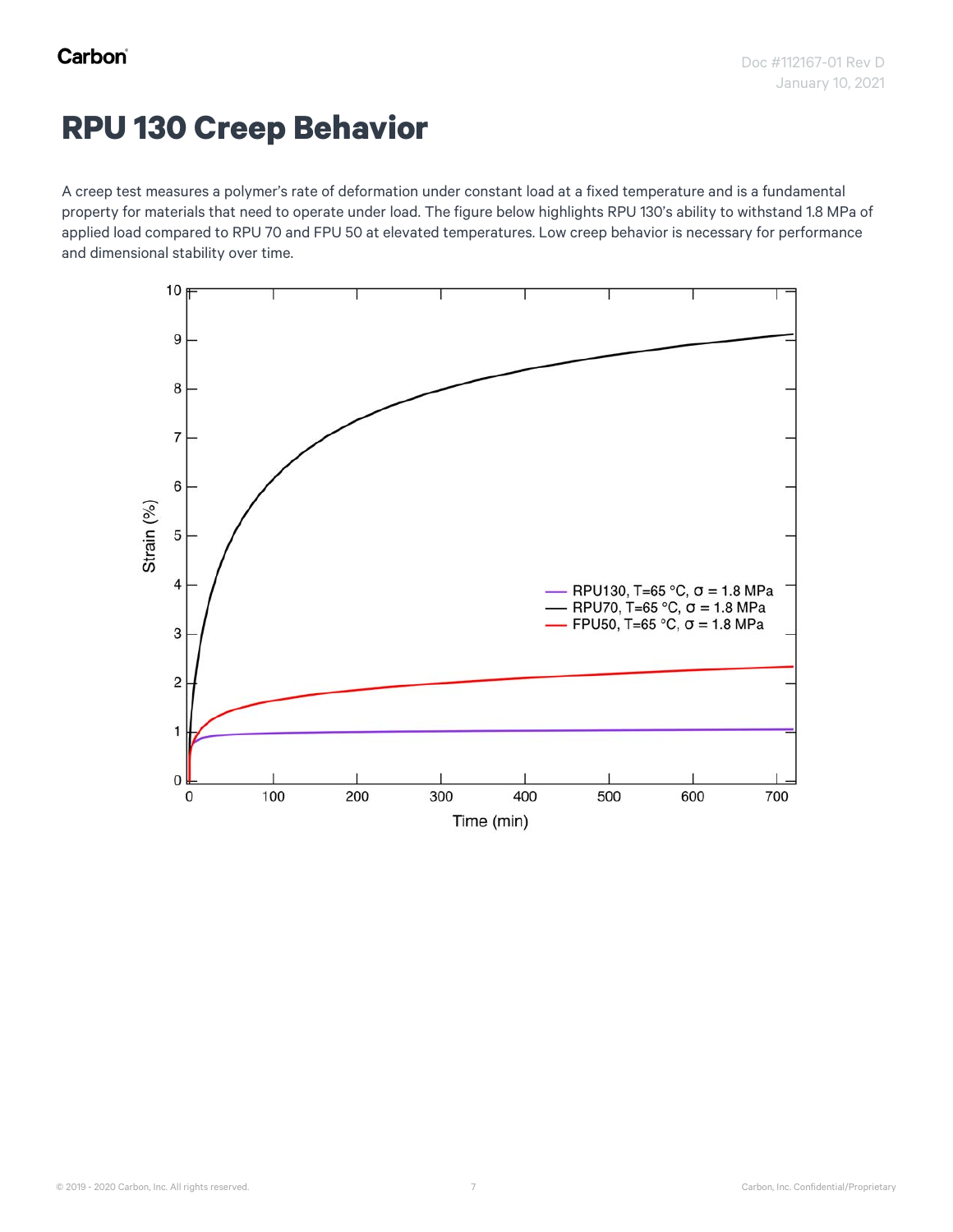#### **RPU 130 Creep Behavior**

A creep test measures a polymer's rate of deformation under constant load at a fixed temperature and is a fundamental property for materials that need to operate under load. The figure below highlights RPU 130's ability to withstand 1.8 MPa of applied load compared to RPU 70 and FPU 50 at elevated temperatures. Low creep behavior is necessary for performance and dimensional stability over time.

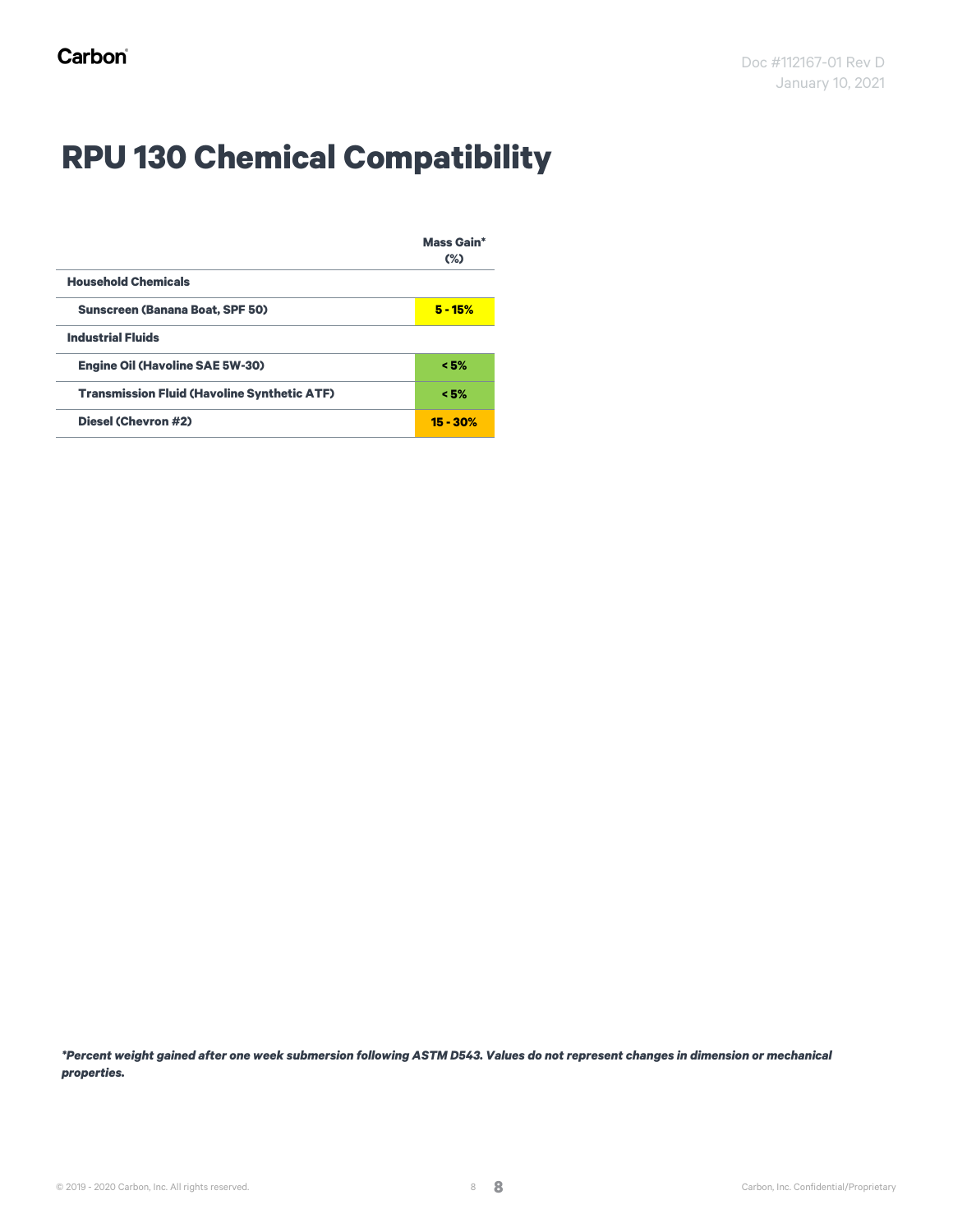## **RPU 130 Chemical Compatibility**

|                                                    | <b>Mass Gain*</b><br>$(\%)$ |
|----------------------------------------------------|-----------------------------|
| <b>Household Chemicals</b>                         |                             |
| <b>Sunscreen (Banana Boat, SPF 50)</b>             | $5 - 15%$                   |
| <b>Industrial Fluids</b>                           |                             |
| <b>Engine Oil (Havoline SAE 5W-30)</b>             | < 5%                        |
| <b>Transmission Fluid (Havoline Synthetic ATF)</b> | < 5%                        |
| <b>Diesel (Chevron #2)</b>                         | $15 - 30%$                  |

*\*Percent weight gained after one week submersion following ASTM D543. Values do not represent changes in dimension or mechanical properties.*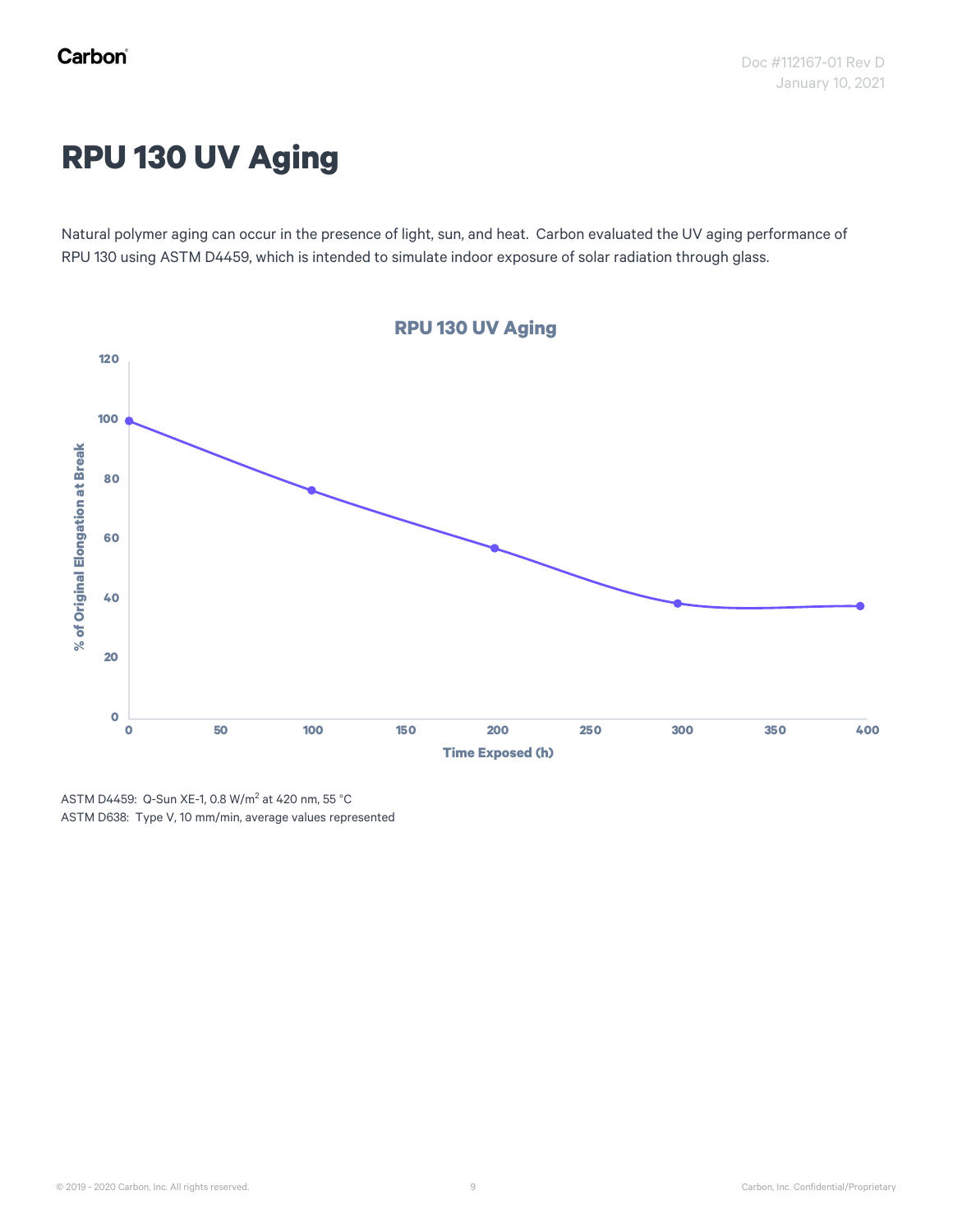## **RPU 130 UV Aging**

Natural polymer aging can occur in the presence of light, sun, and heat. Carbon evaluated the UV aging performance of RPU 130 using ASTM D4459, which is intended to simulate indoor exposure of solar radiation through glass.



ASTM D4459: Q-Sun XE-1, 0.8 W/m<sup>2</sup> at 420 nm, 55 °C ASTM D638: Type V, 10 mm/min, average values represented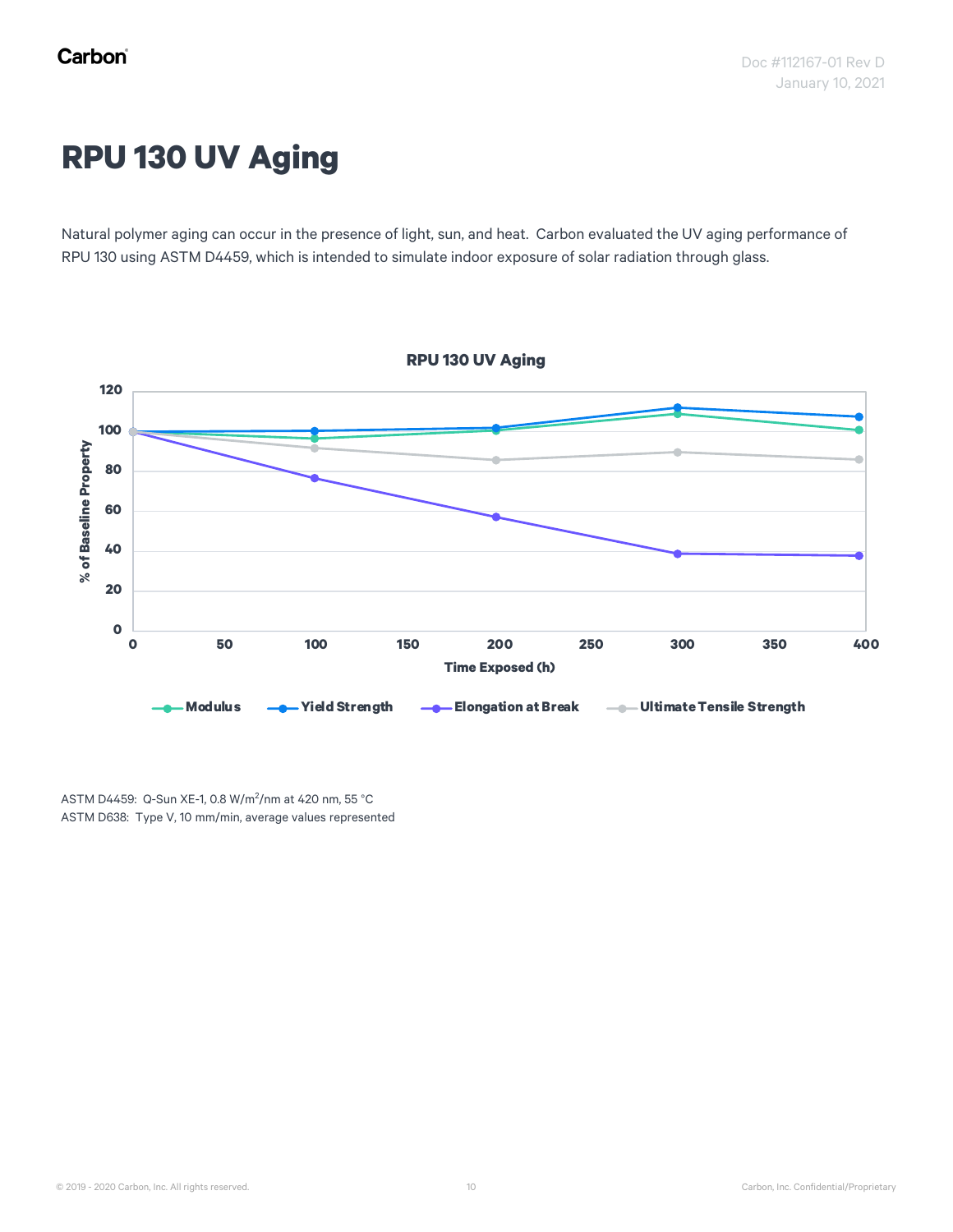## **RPU 130 UV Aging**

Natural polymer aging can occur in the presence of light, sun, and heat. Carbon evaluated the UV aging performance of RPU 130 using ASTM D4459, which is intended to simulate indoor exposure of solar radiation through glass.



ASTM D4459: Q-Sun XE-1, 0.8 W/m<sup>2</sup> /nm at 420 nm, 55 °C ASTM D638: Type V, 10 mm/min, average values represented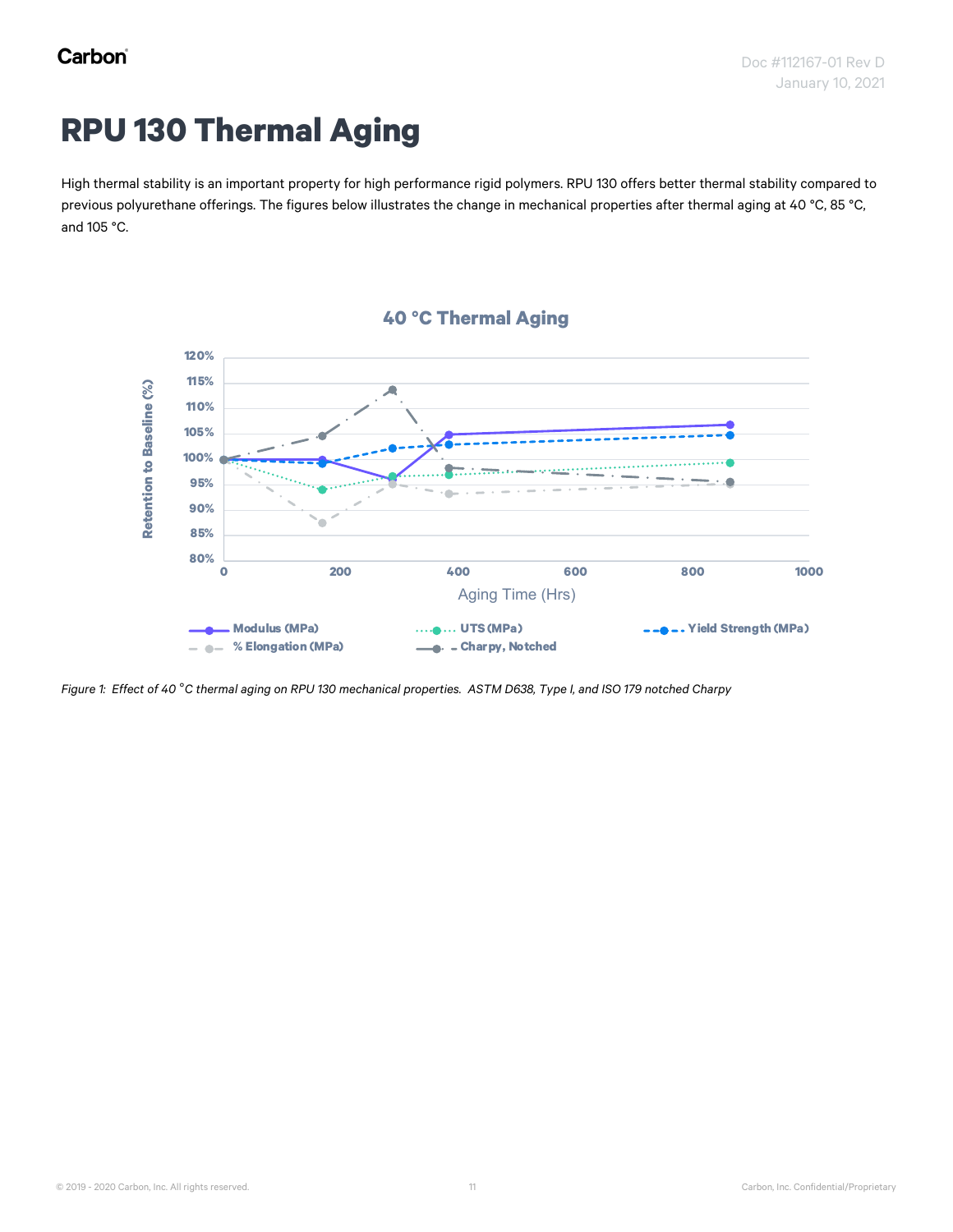## **RPU 130 Thermal Aging**

High thermal stability is an important property for high performance rigid polymers. RPU 130 offers better thermal stability compared to previous polyurethane offerings. The figures below illustrates the change in mechanical properties after thermal aging at 40 °C, 85 °C, and 105 °C.





*Figure 1: Effect of 40* °*C thermal aging on RPU 130 mechanical properties. ASTM D638, Type I, and ISO 179 notched Charpy*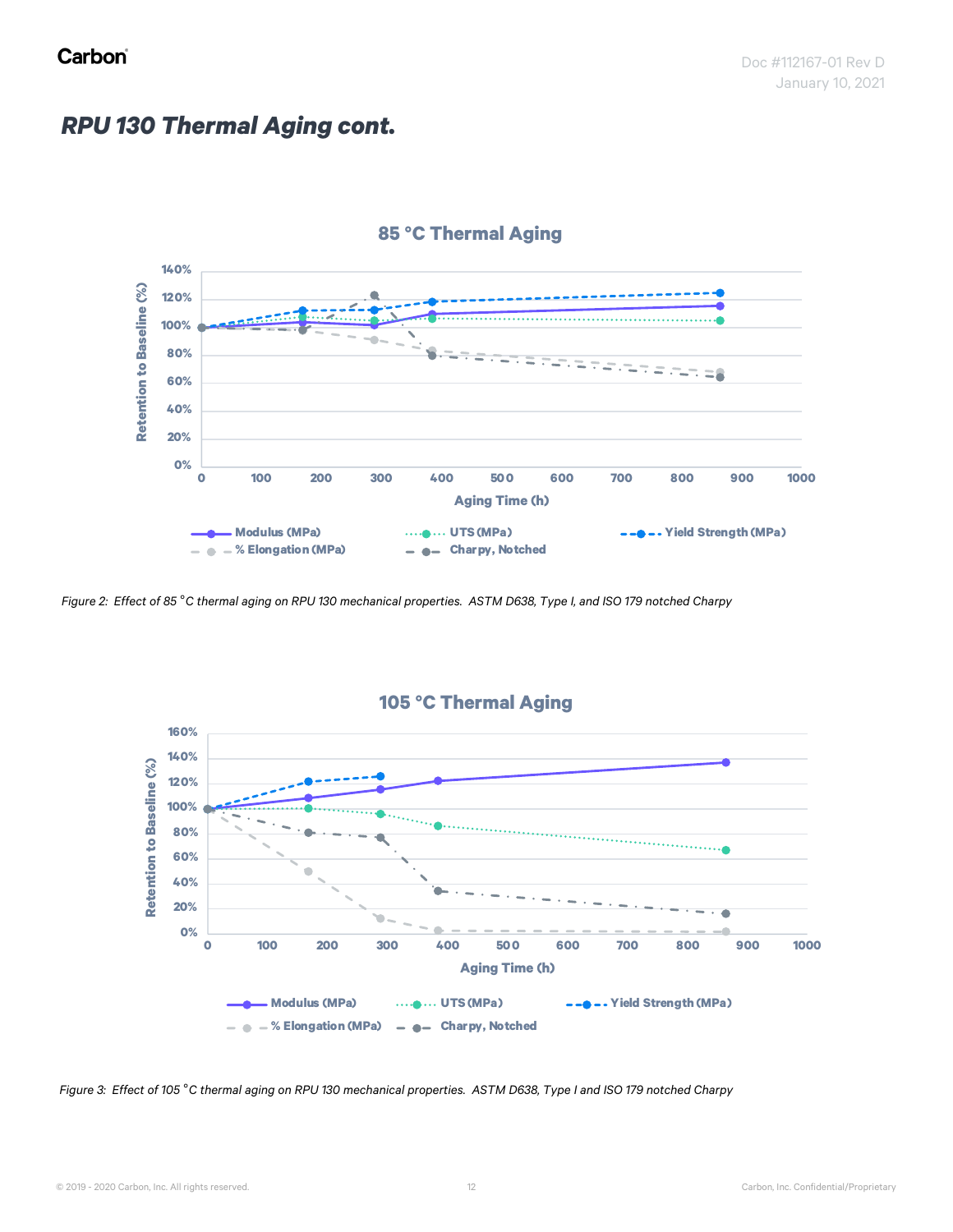#### *RPU 130 Thermal Aging cont.*



*Figure 2: Effect of 85* °*C thermal aging on RPU 130 mechanical properties. ASTM D638, Type I, and ISO 179 notched Charpy*



*Figure 3: Effect of 105* °*C thermal aging on RPU 130 mechanical properties. ASTM D638, Type I and ISO 179 notched Charpy*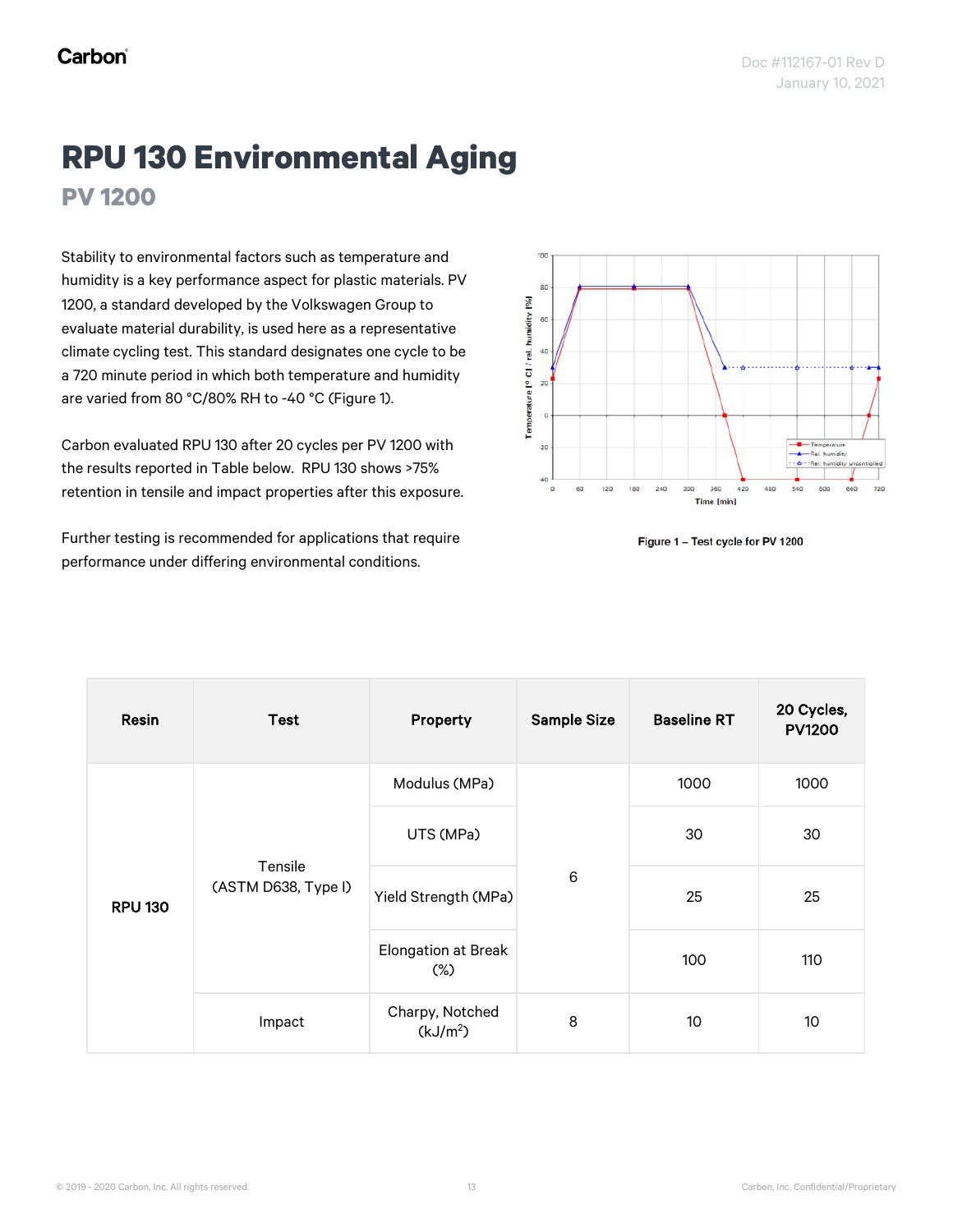## **RPU 130 Environmental Aging PV 1200**

Stability to environmental factors such as temperature and humidity is a key performance aspect for plastic materials. PV 1200, a standard developed by the Volkswagen Group to evaluate material durability, is used here as a representative climate cycling test. This standard designates one cycle to be a 720 minute period in which both temperature and humidity are varied from 80 °C/80% RH to -40 °C (Figure 1).

Carbon evaluated RPU 130 after 20 cycles per PV 1200 with the results reported in Table below. RPU 130 shows >75% retention in tensile and impact properties after this exposure.

Further testing is recommended for applications that require performance under differing environmental conditions.



Figure 1 - Test cycle for PV 1200

| Resin                                                      | <b>Test</b> | Property                                | <b>Sample Size</b> | <b>Baseline RT</b> | 20 Cycles,<br><b>PV1200</b> |
|------------------------------------------------------------|-------------|-----------------------------------------|--------------------|--------------------|-----------------------------|
| Tensile<br>(ASTM D638, Type I)<br><b>RPU 130</b><br>Impact |             | Modulus (MPa)                           |                    | 1000               | 1000                        |
|                                                            | UTS (MPa)   |                                         | 30                 | 30                 |                             |
|                                                            |             | Yield Strength (MPa)                    | $\,6$              | 25                 | 25                          |
|                                                            |             | <b>Elongation at Break</b><br>$(\%)$    |                    | 100                | 110                         |
|                                                            |             | Charpy, Notched<br>(kJ/m <sup>2</sup> ) | 8                  | 10                 | 10 <sup>°</sup>             |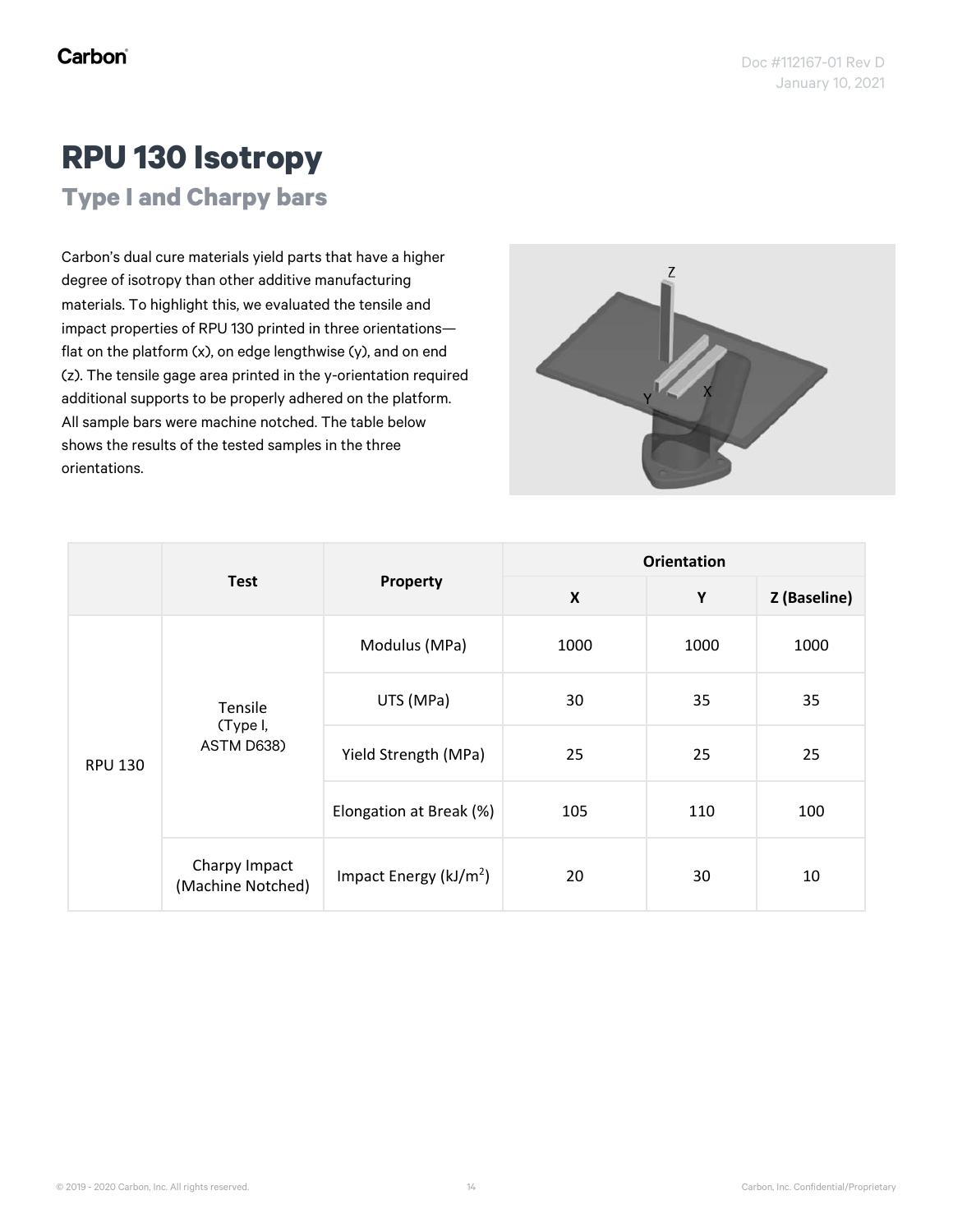## **RPU 130 Isotropy**

**Type I and Charpy bars**

Carbon's dual cure materials yield parts that have a higher degree of isotropy than other additive manufacturing materials. To highlight this, we evaluated the tensile and impact properties of RPU 130 printed in three orientations flat on the platform (x), on edge lengthwise (y), and on end (z). The tensile gage area printed in the y-orientation required additional supports to be properly adhered on the platform. All sample bars were machine notched. The table below shows the results of the tested samples in the three orientations.



|                                       |                                    | Property                  | <b>Orientation</b>        |      |              |
|---------------------------------------|------------------------------------|---------------------------|---------------------------|------|--------------|
|                                       | <b>Test</b>                        |                           | $\boldsymbol{\mathsf{X}}$ | Υ    | Z (Baseline) |
| Tensile<br>(Type I,<br><b>RPU 130</b> |                                    | Modulus (MPa)             | 1000                      | 1000 | 1000         |
|                                       |                                    | UTS (MPa)                 | 30                        | 35   | 35           |
|                                       | ASTM D638)                         | Yield Strength (MPa)      | 25                        | 25   | 25           |
|                                       |                                    | Elongation at Break (%)   | 105                       | 110  | 100          |
|                                       | Charpy Impact<br>(Machine Notched) | Impact Energy ( $kJ/m2$ ) | 20                        | 30   | 10           |